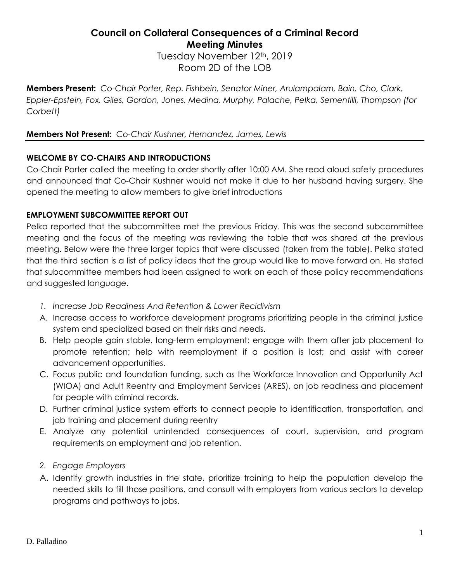# **Council on Collateral Consequences of a Criminal Record Meeting Minutes**

Tuesday November 12th, 2019 Room 2D of the LOB

**Members Present:** *Co-Chair Porter, Rep. Fishbein, Senator Miner, Arulampalam, Bain, Cho, Clark, Eppler-Epstein, Fox, Giles, Gordon, Jones, Medina, Murphy, Palache, Pelka, Sementilli, Thompson (for Corbett)*

# **Members Not Present:** *Co-Chair Kushner, Hernandez, James, Lewis*

# **WELCOME BY CO-CHAIRS AND INTRODUCTIONS**

Co-Chair Porter called the meeting to order shortly after 10:00 AM. She read aloud safety procedures and announced that Co-Chair Kushner would not make it due to her husband having surgery. She opened the meeting to allow members to give brief introductions

# **EMPLOYMENT SUBCOMMITTEE REPORT OUT**

Pelka reported that the subcommittee met the previous Friday. This was the second subcommittee meeting and the focus of the meeting was reviewing the table that was shared at the previous meeting. Below were the three larger topics that were discussed (taken from the table). Pelka stated that the third section is a list of policy ideas that the group would like to move forward on. He stated that subcommittee members had been assigned to work on each of those policy recommendations and suggested language.

- *1. Increase Job Readiness And Retention & Lower Recidivism*
- A. Increase access to workforce development programs prioritizing people in the criminal justice system and specialized based on their risks and needs.
- B. Help people gain stable, long-term employment; engage with them after job placement to promote retention; help with reemployment if a position is lost; and assist with career advancement opportunities.
- C. Focus public and foundation funding, such as the Workforce Innovation and Opportunity Act (WIOA) and Adult Reentry and Employment Services (ARES), on job readiness and placement for people with criminal records.
- D. Further criminal justice system efforts to connect people to identification, transportation, and job training and placement during reentry
- E. Analyze any potential unintended consequences of court, supervision, and program requirements on employment and job retention.
- *2. Engage Employers*
- A. Identify growth industries in the state, prioritize training to help the population develop the needed skills to fill those positions, and consult with employers from various sectors to develop programs and pathways to jobs.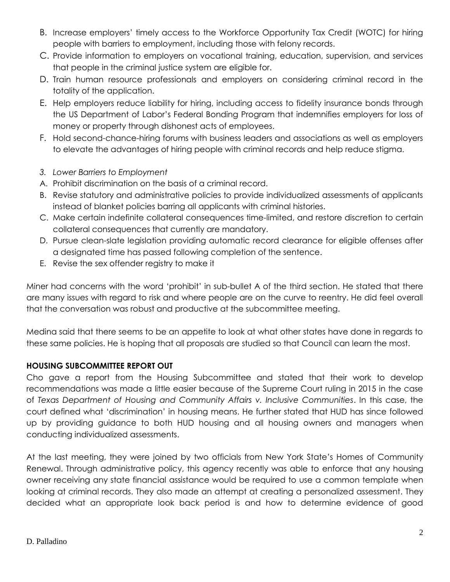- B. Increase employers' timely access to the Workforce Opportunity Tax Credit (WOTC) for hiring people with barriers to employment, including those with felony records.
- C. Provide information to employers on vocational training, education, supervision, and services that people in the criminal justice system are eligible for.
- D. Train human resource professionals and employers on considering criminal record in the totality of the application.
- E. Help employers reduce liability for hiring, including access to fidelity insurance bonds through the US Department of Labor's Federal Bonding Program that indemnifies employers for loss of money or property through dishonest acts of employees.
- F. Hold second-chance-hiring forums with business leaders and associations as well as employers to elevate the advantages of hiring people with criminal records and help reduce stigma.
- *3. Lower Barriers to Employment*
- A. Prohibit discrimination on the basis of a criminal record.
- B. Revise statutory and administrative policies to provide individualized assessments of applicants instead of blanket policies barring all applicants with criminal histories.
- C. Make certain indefinite collateral consequences time-limited, and restore discretion to certain collateral consequences that currently are mandatory.
- D. Pursue clean-slate legislation providing automatic record clearance for eligible offenses after a designated time has passed following completion of the sentence.
- E. Revise the sex offender registry to make it

Miner had concerns with the word 'prohibit' in sub-bullet A of the third section. He stated that there are many issues with regard to risk and where people are on the curve to reentry. He did feel overall that the conversation was robust and productive at the subcommittee meeting.

Medina said that there seems to be an appetite to look at what other states have done in regards to these same policies. He is hoping that all proposals are studied so that Council can learn the most.

# **HOUSING SUBCOMMITTEE REPORT OUT**

Cho gave a report from the Housing Subcommittee and stated that their work to develop recommendations was made a little easier because of the Supreme Court ruling in 2015 in the case of *Texas Department of Housing and Community Affairs v. Inclusive Communities*. In this case, the court defined what 'discrimination' in housing means. He further stated that HUD has since followed up by providing guidance to both HUD housing and all housing owners and managers when conducting individualized assessments.

At the last meeting, they were joined by two officials from New York State's Homes of Community Renewal. Through administrative policy, this agency recently was able to enforce that any housing owner receiving any state financial assistance would be required to use a common template when looking at criminal records. They also made an attempt at creating a personalized assessment. They decided what an appropriate look back period is and how to determine evidence of good